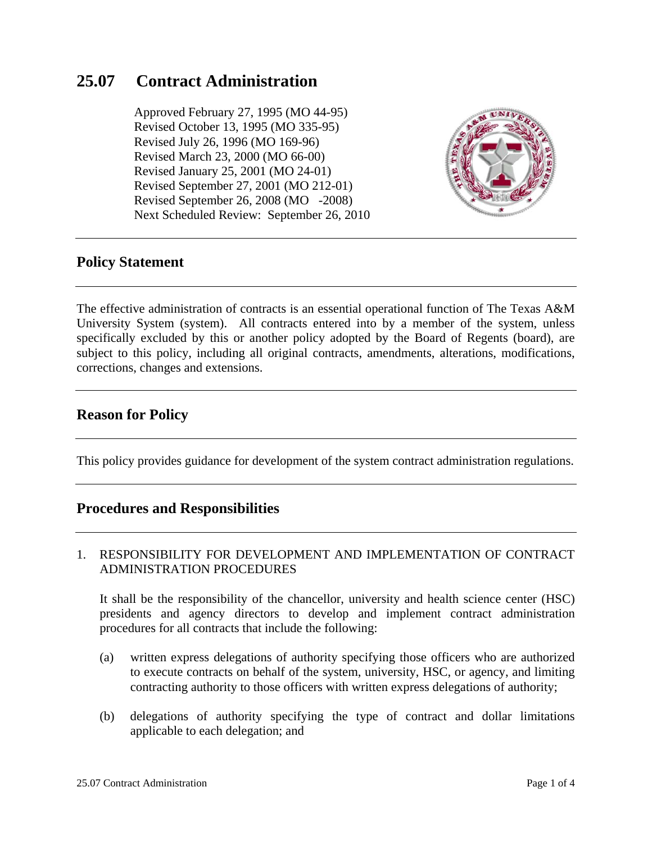# **25.07 Contract Administration**

 Approved February 27, 1995 (MO 44-95) Revised October 13, 1995 (MO 335-95) Revised July 26, 1996 (MO 169-96) Revised March 23, 2000 (MO 66-00) Revised January 25, 2001 (MO 24-01) Revised September 27, 2001 (MO 212-01) Revised September 26, 2008 (MO -2008) Next Scheduled Review: September 26, 2010



## **Policy Statement**

The effective administration of contracts is an essential operational function of The Texas A&M University System (system). All contracts entered into by a member of the system, unless specifically excluded by this or another policy adopted by the Board of Regents (board), are subject to this policy, including all original contracts, amendments, alterations, modifications, corrections, changes and extensions.

## **Reason for Policy**

This policy provides guidance for development of the system contract administration regulations.

## **Procedures and Responsibilities**

### 1. RESPONSIBILITY FOR DEVELOPMENT AND IMPLEMENTATION OF CONTRACT ADMINISTRATION PROCEDURES

It shall be the responsibility of the chancellor, university and health science center (HSC) presidents and agency directors to develop and implement contract administration procedures for all contracts that include the following:

- (a) written express delegations of authority specifying those officers who are authorized to execute contracts on behalf of the system, university, HSC, or agency, and limiting contracting authority to those officers with written express delegations of authority;
- (b) delegations of authority specifying the type of contract and dollar limitations applicable to each delegation; and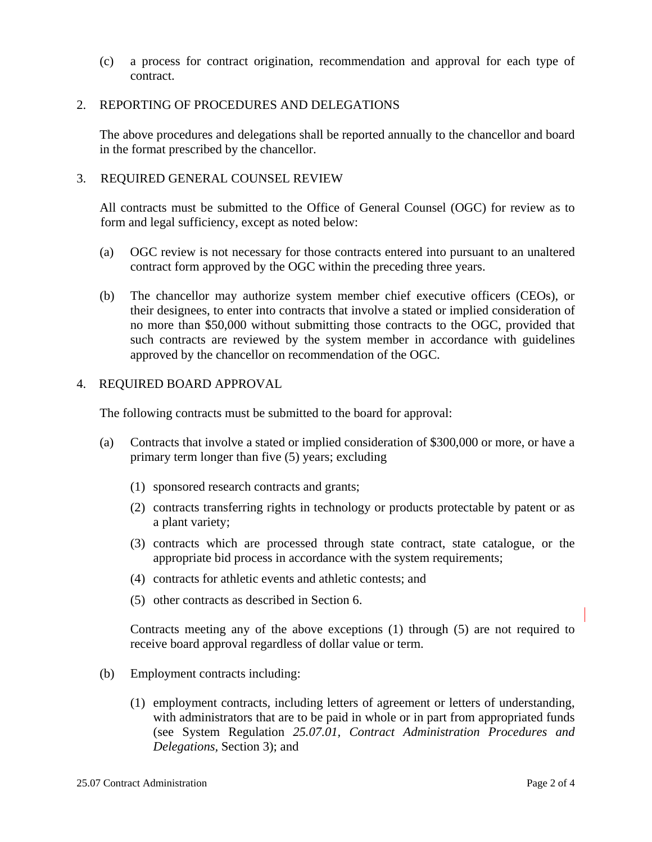(c) a process for contract origination, recommendation and approval for each type of contract.

### 2. REPORTING OF PROCEDURES AND DELEGATIONS

The above procedures and delegations shall be reported annually to the chancellor and board in the format prescribed by the chancellor.

#### 3. REQUIRED GENERAL COUNSEL REVIEW

All contracts must be submitted to the Office of General Counsel (OGC) for review as to form and legal sufficiency, except as noted below:

- (a) OGC review is not necessary for those contracts entered into pursuant to an unaltered contract form approved by the OGC within the preceding three years.
- (b) The chancellor may authorize system member chief executive officers (CEOs), or their designees, to enter into contracts that involve a stated or implied consideration of no more than \$50,000 without submitting those contracts to the OGC, provided that such contracts are reviewed by the system member in accordance with guidelines approved by the chancellor on recommendation of the OGC.

#### 4. REQUIRED BOARD APPROVAL

The following contracts must be submitted to the board for approval:

- (a) Contracts that involve a stated or implied consideration of \$300,000 or more, or have a primary term longer than five (5) years; excluding
	- (1) sponsored research contracts and grants;
	- (2) contracts transferring rights in technology or products protectable by patent or as a plant variety;
	- (3) contracts which are processed through state contract, state catalogue, or the appropriate bid process in accordance with the system requirements;
	- (4) contracts for athletic events and athletic contests; and
	- (5) other contracts as described in Section 6.

Contracts meeting any of the above exceptions (1) through (5) are not required to receive board approval regardless of dollar value or term.

- (b) Employment contracts including:
	- (1) employment contracts, including letters of agreement or letters of understanding, with administrators that are to be paid in whole or in part from appropriated funds (see System Regulation *25.07.01, Contract Administration Procedures and Delegations,* Section 3); and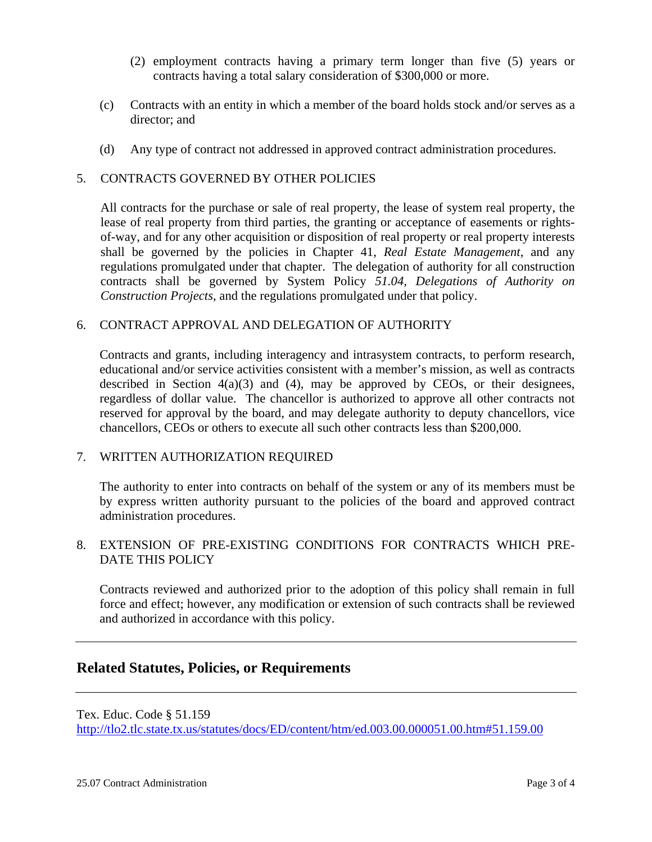- (2) employment contracts having a primary term longer than five (5) years or contracts having a total salary consideration of \$300,000 or more.
- (c) Contracts with an entity in which a member of the board holds stock and/or serves as a director; and
- (d) Any type of contract not addressed in approved contract administration procedures.

## 5. CONTRACTS GOVERNED BY OTHER POLICIES

All contracts for the purchase or sale of real property, the lease of system real property, the lease of real property from third parties, the granting or acceptance of easements or rightsof-way, and for any other acquisition or disposition of real property or real property interests shall be governed by the policies in Chapter 41, *Real Estate Management*, and any regulations promulgated under that chapter. The delegation of authority for all construction contracts shall be governed by System Policy *51.04, Delegations of Authority on Construction Projects*, and the regulations promulgated under that policy.

### 6. CONTRACT APPROVAL AND DELEGATION OF AUTHORITY

Contracts and grants, including interagency and intrasystem contracts, to perform research, educational and/or service activities consistent with a member's mission, as well as contracts described in Section  $4(a)(3)$  and  $(4)$ , may be approved by CEOs, or their designees, regardless of dollar value. The chancellor is authorized to approve all other contracts not reserved for approval by the board, and may delegate authority to deputy chancellors, vice chancellors, CEOs or others to execute all such other contracts less than \$200,000.

### 7. WRITTEN AUTHORIZATION REQUIRED

The authority to enter into contracts on behalf of the system or any of its members must be by express written authority pursuant to the policies of the board and approved contract administration procedures.

### 8. EXTENSION OF PRE-EXISTING CONDITIONS FOR CONTRACTS WHICH PRE-DATE THIS POLICY

Contracts reviewed and authorized prior to the adoption of this policy shall remain in full force and effect; however, any modification or extension of such contracts shall be reviewed and authorized in accordance with this policy.

## **Related Statutes, Policies, or Requirements**

Tex. Educ. Code § 51.159 http://tlo2.tlc.state.tx.us/statutes/docs/ED/content/htm/ed.003.00.000051.00.htm#51.159.00